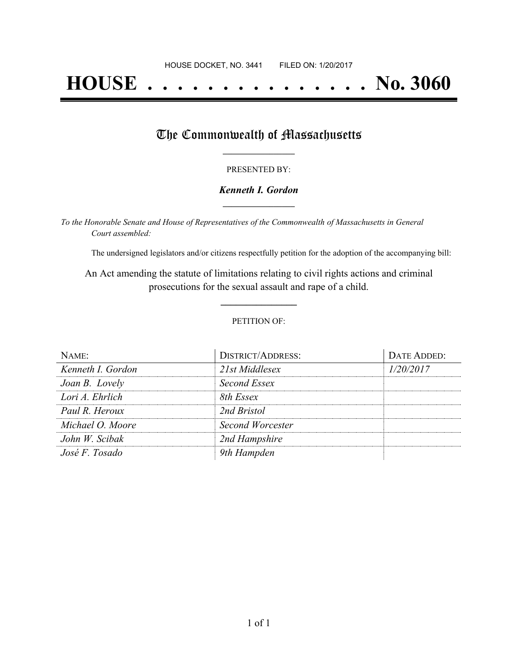# **HOUSE . . . . . . . . . . . . . . . No. 3060**

### The Commonwealth of Massachusetts

#### PRESENTED BY:

#### *Kenneth I. Gordon* **\_\_\_\_\_\_\_\_\_\_\_\_\_\_\_\_\_**

*To the Honorable Senate and House of Representatives of the Commonwealth of Massachusetts in General Court assembled:*

The undersigned legislators and/or citizens respectfully petition for the adoption of the accompanying bill:

An Act amending the statute of limitations relating to civil rights actions and criminal prosecutions for the sexual assault and rape of a child.

**\_\_\_\_\_\_\_\_\_\_\_\_\_\_\_**

#### PETITION OF:

| NAME:             | <b>DISTRICT/ADDRESS:</b> | DATE ADDED: |
|-------------------|--------------------------|-------------|
| Kenneth I. Gordon | 21st Middlesex           | 1/20/2017   |
| Joan B. Lovely    | Second Essex             |             |
| Lori A. Ehrlich   | 8th Essex                |             |
| Paul R. Heroux    | 2nd Bristol              |             |
| Michael O. Moore  | Second Worcester         |             |
| John W. Scibak    | 2nd Hampshire            |             |
| José F. Tosado    | 9th Hampden              |             |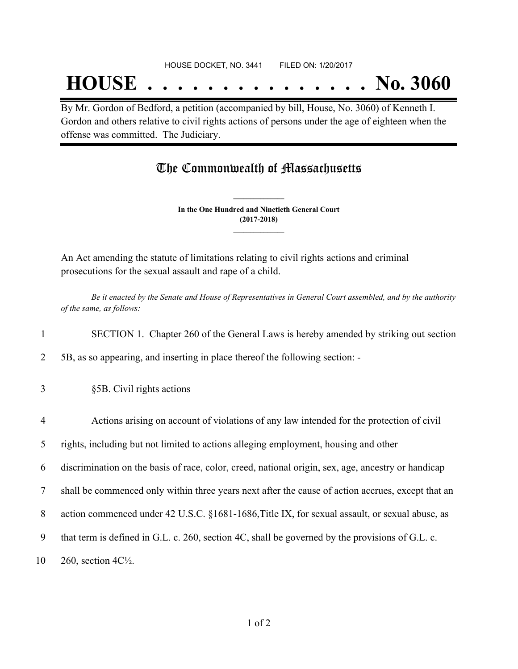## **HOUSE . . . . . . . . . . . . . . . No. 3060**

By Mr. Gordon of Bedford, a petition (accompanied by bill, House, No. 3060) of Kenneth I. Gordon and others relative to civil rights actions of persons under the age of eighteen when the offense was committed. The Judiciary.

## The Commonwealth of Massachusetts

**In the One Hundred and Ninetieth General Court (2017-2018) \_\_\_\_\_\_\_\_\_\_\_\_\_\_\_**

**\_\_\_\_\_\_\_\_\_\_\_\_\_\_\_**

An Act amending the statute of limitations relating to civil rights actions and criminal prosecutions for the sexual assault and rape of a child.

Be it enacted by the Senate and House of Representatives in General Court assembled, and by the authority *of the same, as follows:*

1 SECTION 1. Chapter 260 of the General Laws is hereby amended by striking out section

2 5B, as so appearing, and inserting in place thereof the following section: -

- 3 §5B. Civil rights actions
- 4 Actions arising on account of violations of any law intended for the protection of civil

5 rights, including but not limited to actions alleging employment, housing and other

6 discrimination on the basis of race, color, creed, national origin, sex, age, ancestry or handicap

7 shall be commenced only within three years next after the cause of action accrues, except that an

- 8 action commenced under 42 U.S.C. §1681-1686,Title IX, for sexual assault, or sexual abuse, as
- 9 that term is defined in G.L. c. 260, section 4C, shall be governed by the provisions of G.L. c.
- 10 260, section 4C½.